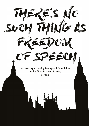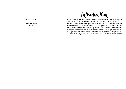What is free speech? The Amnesty International website defines it as 'the right to seek, receive and impart information and ideas of all kinds, by any means' (2013), but should there be any limits put on our speech? And if so, what are the bene fits or hindrances on society by doing so? Throughout this writing, I'll explore free speech in politics and religion, especially in the university setting. I believe in the present day, and especially in "liberal" universities, people don't express their opinions for fear they're not "politically correct", and here, I'll try to explore and propose a design solution to help, what I consider, this problem at hand.



## Introduction

#### **WRITTEN BY:**

Olivia Heeney 33320816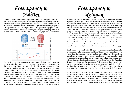The most recent example we have of people being scared to voice political beliefs is the 2016 US Election. Trump, with his racist, misogynistic and overall bigoted views caused controversy throughout the election process. And while Clinton could not, herself, be called a saint, she was held in a much higher regard by the majority of the USA's population. Or so we thought. The *NY Times* posted a infographic on their website of a national polling average throughout the year leading up to the vote. In every month, Clinton took the lead. So why did things go "wrong" on the day?



Due to Trump's often controversial comments, I believe people were too scared to voice their support for him through fear of backlash. An example of this was during a Clinton campaign rally that Obama was speaking at. When an elderly man held a pro-Trump sign up during Obama's speech, 'the crowd shouted and chanted at him' (Fisher, 2016) to which Obama told the crowd, "We live in a country that respects free speech... Don't try to shut [Trump supporters] down, no matter how much you might disagree with them". Trump supporters shouldn't have been scared to openly support their candidate for fear of damaging their reputations, and I believe the amount of celebrity endorsement Clinton received compared to Trump highlighted how much of an issue this was. If we'd known the amount of supporters Trump actually had throughout the election process, things could've turned out differently.

Another area I believe freedom of speech is threatened is within and surrounding the subject of religion. There have been many controversial cases on the topic of whether non-believers should be allowed the freedom to mock or forcefully question religion, or whether believers have the right to lawfully stop this. In his book *'Free Speech: A Very Short Introduction'*, Warburton notes this area is a difficult one to resolve as there's 'no straightforward resolution without giving one priority' (2009, p46); it's especially true when thinking of religions as beliefs, and if not believing in religion is a belief in itself, then why should one have the right not to be offended, over the others right to offend? An example is the Monty Python film, *'Life of Brian*', in which the messiah (inspired by Jesus Christ) is called Brian, and when crucified the song 'Always Look on the Bright Side' is played. Many Christians were outraged by this sketch, but as Warburton notes, if 'secular heroes, such as Bertrand Russell, have not been immune from parody...why then should religious figures be immune?' (2009, p50)

This leads me on to question the difference between purposely offending and innocently questioning religions. Aayan Hirsan Ali made a film in 2004 that showed verses of the Qur'an painted on women's bodies to highlight her view that Islam treated women unfairly. Many Muslims were offended by the piece and proceeded to attack Aayan and the film's director even though, in interviews after the films release, she stated 'her intention was not to attack Islam' but a 'plea for self-reflection within Islam' and that 'every form of self-expression should be allowed except for physical and verbal abuse' (Warburton, 2009, p53). And while Muslims had the right to be upset by it, trying to remove Ali's freedom of expression by assassinating the films director, Theo Van Gogh, surely is just as bad, if not worse.

While Ali's work may be considered blasphemy, which is of course deeply offensive to believers, and as Warburton quotes 'might easily be re-described as hate speech directed at the religious', he also states that 'all types of belief should be open to scrutiny, criticism, parody and potentially ridicule in a free society' (2009, p50) which I myself also believe. As with politics, in order to make informed decisions on your idea of "the truth" you

# Free Speech in Politics

## Free Speech in Religion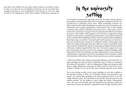must allow your beliefs to be put under attack at times, by yourself or others, in order to see how far you can defend it, and if you can say your ideas have 'emerged unscathed or even strengthened', only then do we have 'any right to think of our judgement as better than another's' (Warburton, 2009, pg 27).

> In the context of universities, especially those with the label of being "liberal", the problem with having this label is that it brings the assumption of only voicing left-wing or "politically correct" views. While researching, I found a student-written website called *TheCollegeFix* on which one article was based on discrimination due to people speaking their "controversial" views at their colleges in America. One student at Wesleyan University, who is a white male, wrote an article in his University newspaper where he questioned the Black Lives Matter movement. This student wasn't against it, but said that by supporters inciting violence towards police, it perhaps directed attention away from the important matter at hand instead of finding a solution. Once his article had been published, Bryan Stascavage was called a "racist and trash" and his picture was "posted online with comments that seemed to be calling for violence" (Stascavage, 2016). While the readers of the paper had every right to be upset, the problem comes when someone is bullied in to silence for expressing an opinion. He also said that while many students supported him, they were 'too scared to speak out in support'. Stascavage's views may not be correct, 'progress is achieved though a polite battle of ideas rather than through one side having exclusive access to the podium'(Warburton, 2009, p29); if we only let the opinions that are socially accepted to be heard, how will we know if there's a better way for us, as a society, to progress.

> I think the problem with voicing controversial opinions in the university setting is perhaps our notion of what is "politically correct". What is wrong about this notion of "correctness" is that its 'judgements of right and wrong are made from an angle' (Warburton, 2009, p79), so while it may be "correct" for one set of ideas or beliefs, it's not true for the many coloured opinions of the whole.

> This is also having an effect on the actual teachings we now have available in the education system. In 2016, 'one of Donald Trump's most provocative supporters' was 'barred from speaking at his former grammar school in the UK' (Ough, Swinford, 2016). The school had set up the talk 'with the consent of [the students parents]' for the students to gain insight and debate Yiannopolous' views. The event was cancelled 'after the Department for Education raised concerns about security and potential "reputational issues"'(Ough, Swinford, 2016).

# In the University setting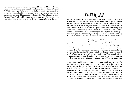pect for what we can and can't censor to sustain freedom of speech, but also nourish a positive society. Where should the line be drawn between someone's freedom of speech, and the negative versions of it, such as hate speech and discrimination? As Fish said, to fight for free speech 'would require the disciplining of those who spoke scornfully of white and males and even Nazis, as well as those who spoke scornfully of blacks, women and gays' (1994, p75), which while may be true, Nazi- sympathy is something we clearly won't do as a society. So in theory, does that mean that some people deserve more access to the public podium?

One example would be in Skokie 1977, where a 'First Amendment defence was used to protect a planned Neo-Nazi march' (Warburton, 2009, p56). The town of Skokie was known for being occupied by many Jewish families, some, themselves, holocaust survivors. The marchers planned to 'wear their uniforms' and 'carry swastikas' throughout the march, which of course, would cause extreme distress to the survivors. The local council had banned public marches after finding out about this, but the American Civil Liberties Union 'took up the case as a free speech issue' (Warburton, 2009, pg 57) and eventually won. This example of free speech shows that, to be a defender of it, you must protect 'the speech that you don't want to hear as well as the speech that you do' (Warburton, 2009, p1)

In my opinion, and backed up by that of John Stuart Mill, we need to set the boundary of free speech somewhere. No one should have the right to ostracise someone because of their beliefs, politics, race, etc, but we should have the right to say "I don't agree" or to voice our opposing opinions. Warburton explains in his book, that Mill, 'set the boundary [of free speech] at the point where speech or writing was an incitement to violence' (2009, p9) and I wholly agree with this. As long as you are not physically interfering, or trying to interfere, with the way that someone lives their life we should all have the freedom to express our opinions, controversial or otherwise.

How is this censorship on free speech sustainable for a multi cultural, democratic, diverse and interesting education and society? In his book, '*There's No Such Thing as Free Speech'*, Fish tells us that the key to exercising tolerance 'is not to avoid oppositional activity but to engage in it' (1994, p37), and this is the key idea we must sustain. Although this school was in the UK and had no say in the Electoral Vote, it's still vital for young people to understand the logistics of free speech in politics in order to sustain a democratic way of living in the future. As I have mentioned many times throughout this essay, there's the Catch 22 as-

### Catch 22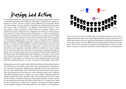So, to design a method for solving the problem of speech being censored, feared or otherwise tarnished, I first looked at universities. I think the very simple resolution is to allow ourselves to hear as many different types of people inform us of their beliefs. As many problems come from the advertisement of speakers who come to talk in universities - e.g. affiliation with certain societies - causing people to make assumptions of what "side" they will take, I think it's important for anyone coming in to be completely free of links to certain groups. I also think, to avoid as much protest or disruption to a talk, it's important to bring an opposing side in at the same time; this way, one group are less likely to feel they are being attacked. It'll also ensure that both sides of the argument are hearing the opposing side, at the same time as the person they're supporting. We need this 'challenging argument' as without a debate on our values and beliefs, we 'will be less alive as thinkers' and 'this will be bad not just for us, but for society at large as well' (Warburton, 2009, p29); we need to hear the other side of the story to question, and either reaffirm or readjust our own. By doing this, it means the talks must sometimes host extremely controversial people to ensure we're actually hearing every type of opinion; Kenan Malik, as quoted by Warburton says, 'challenging bigotry by banning it can produce worse results than toleration and counter speech: 'You simply let the sentiments fester underground'' (2009, p58), so we must let these, often despised opinions be heard from the people themselves, in order to question and perhaps tackle them.

Bringing this out in to the wider world, I think one problem with shows like *Question Time*, which has a very similar set up to the one I've just described, is the presence of a "presenter". By having a middle person, although it directs the conversation, they can inadvertently "pick a side", which effects the audience's discussions in turn. Also, by having the shows broadcast on certain channels, which can be affiliated with different political parties, religions, etc, you're already targeting people that would normally watch these channels, rather than reaching everyone; this means that the majority of people watching may share similar opinions, so there won't be an interesting discussion from both sides off the back of it. To tackle this, I think the idea of presenters on debate shows should be removed and instead replaced by each speaker randomly choosing people from the audience to ask questions.



This way, they don't know whether they are choosing someone who is for or

against their ideas, and a more interesting discussion will come from this. Secondly, there needs to be a new television channel that is solely for the purpose of these types of shows, and be affiliated with nothing outside of the shows it produces. These shows must then be broadcast at a popular time so they are available for everyone to watch; this should be a tool for education, not entertainment.

Design Led Action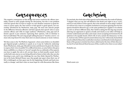The negative consequence of this design-led action would be the offence inevitably caused to some people during the discussions, but this is one problem with free speech that we have to target: we can't disallow someone to speak because it causes upset, the 'best answer to bad speech is good speech, not censorship' (Dershowitz by Warburton, 2009, p34). We must also educate people in the difference between offensive and hate speech; hate speech '*aims* to cause extreme offence and vilify its target audience' (Warburton, 2009, p55) and offensive speech is just someone expressing their opinion, with *no intention* to hurt an individual. We can't stop people talking because it "touches a nerve", we must only stop them if it's clear their aim is to attack someone or incite violence.

We then come to the 'No Platform Argument', where some believe we shouldn't give bigoted people a platform to speak on as it may be 'indirectly endorsing' them (Warburton, 2009, p41). Should terrorists and dictators be given the chance to express their views in public? It's a difficult decision, as some believe this gives them credibility or a chance to "recruit" people; but as a defender of free speech, you have to apply the rule to all, not just those we find morally sound. And it works both ways, just as we are being allowed to listen to their side, they are also listening to ours, and it may challenge the way they think. Quoted by Warburton in his book, Richard Posner says, that people 'get upset when their way of life is challenged, yet that upset may be the beginning of doubt and lead eventually to change', and that's what we must hope for with discussions like these.



To conclude, the whole idea of free speech can be defined by the words of Voltaire, "I despise what you say, but will defend to the death your right to say it" (n.d.), and if we truly believe in free speech, this is the attitude we must adopt. I believe we will not ever come to a complete resolution to everyone agreeing how far free speech should be allowed to go, as the same problem *for* it applies to its *solution* as well: we all have different ideas. But I believe taking the first big step towards allowing our opponents to speak as loudly and clearly as our allies will help us to better understand each other, and create a more accepting environment for all opinions to be equally heard, which will, in turn, sustain the democracy we live in. And not only will free speech sustain democracy, but 'without [it], humankind may be robbed of ideas that would otherwise have contributed to its development'. Some of the greatest scientists have been called mad at the time of their discoveries, but if we had silenced them because of this, would we be where we are today?

Probably not.

Word count: 2,711

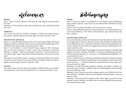#### **BOOKS:**

*Fish, J.* 'There's No Such Thing As Free Speech', 1994, Oxford University Press, New York

*Warburton, N.* 'Free Speech: A Very Short Introduction', 2009, Oxford University Press, UK

#### **WEBSITES:**

*Anon.* (2013) Free Speech, [Online], Available at: https://www.amnesty.org.uk/ free-speech- freedom-expression-human-right, [Accessed: 30th Dec. 2016]

#### **ONLINE NEWS ARTICLES:**

*Fisher, A.L.* (2016) President Obama Sticks Up For Free Speech Rights Of Trump Supporter, [Online], Available: http://reason.com/blog/2016/11/04/president-obama-defends-free-speech-righ, [Accessed: 30th Dec. 2016]

*Anon* (2016) Latest Election Polls 2016, [Online], Available: http://www.nytimes. com/interactive/ 2016/us/elections/polls.html? r=0, [Accessed: 20th Dec. 2016]

*Ough T. and Swinford, S.* (2016) Donald Trump supporter Milo Yiannopoulos barred from speaking at former school after government intervened, [Online], Available: http://www.telegraph.co.uk/news/ 2016/11/21/school-cancels-talk-far-right-trump-cheerleader-milo-yiannopoulos/, [Accessed: 30th Dec. 2016]

*Stascavage, B* (2015) White student columnist tormented by Black Lives Matter activists for op-ed critical of movement, [Online], Available: http://www.thecollegefix.com/post/24314/, [Accessed: 30th Dec. 2016]

#### **IMAGES:**



#### **BOOKS:**

*Asad, T., Brown, W., Butler, J. and Mahmood, S.* 'Is Critique Secular?: Blasphemy, Injury and Free Speech', 2009, University of California Press, Berkley/Los Angeles/London

*Cohen, F. '*You Can't Read This Book', 2012, Fourth Estate, London *Colini, F.* 'That's Offensive!: Criticism, Identity, Respect', 2010, Seagull Books, Calcutta, India Waldron, J. 'The Harm in Hate Speech', 2012, Harvard University Press, London

#### **ONLINE NEWS ARTICLES:**

*Ali, A.* (2016) Muslim students from Goldsmiths University's Islamic Society 'heckle and aggressively interrupt' Maryam Namazie talk, [Online], Available: http:// www.independent.co.uk/ student/news/muslim-students-from-goldsmiths-university-s-islamic-society-heckle-and- aggressively-interrupt-a6760306.html, [Accessed: 30th Dec. 2016] *Calderone, M* (2016), Donald Trump Suggests Freedom of Speech is Hurting Fight Against Terrorism, [Online], Available at: http://www.huffingtonpost.com/entry/donald-trump-freedom-of- expression\_us\_57dfde58e4b04a1497b54f2f, [Accessed: 30th Dec. 2016] *Ciccotti, T* (2016) University of Minnesota President Defends Free Speech, Student Trump Supporters, [Online], Available: http://www.breitbart.com/tech/2016/10/02/ university-minn- president-defends-free-speech-student-trump-supporters/, [Accessed: 30th Dec. 2016] *Hardiman, K. (2016) Philosophy professor: Students too fearful to debate con*troversial topics, [Online], Available: http://www.thecollegefix.com/post/30168/, [Accessed: 30th Dec. 2016] *Kabbany, J.* (2015) These 8 conservative college students were bullied for their beliefs, [Online], Available: http://www.thecollegefix.com/post/24339/, [Accessed: 30th Dec 2016] *Kabbany, J. (2015)* Conservative student at Yale called 'bigot,' pressured to leave campus by peers, [Online], Available: http://www.thecollegefix.com/post/24271/, [Accessed: 30th Dec. 2016]